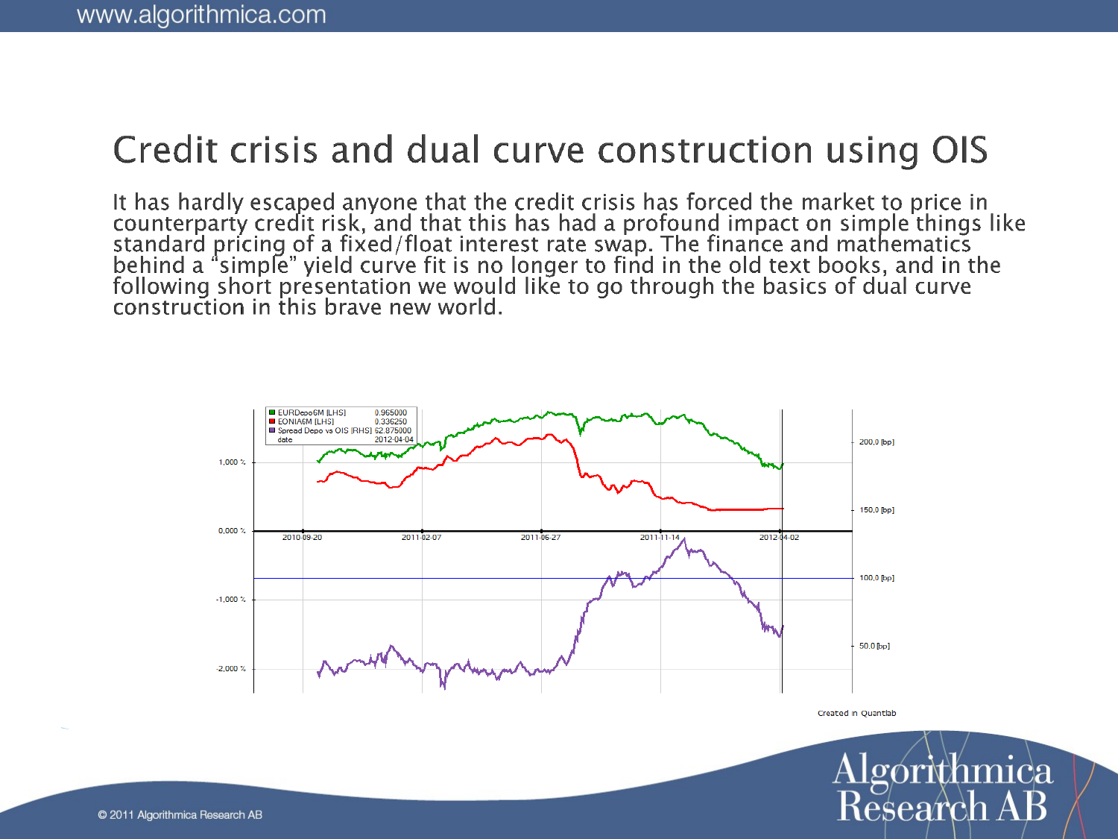### Credit crisis and dual curve construction using OIS

It has hardly escaped anyone that the credit crisis has forced the market to price in counterparty credit risk, and that this has had a profound impact on simple things like standard pricing of a fixed/float interest rate



Created in Quantlab

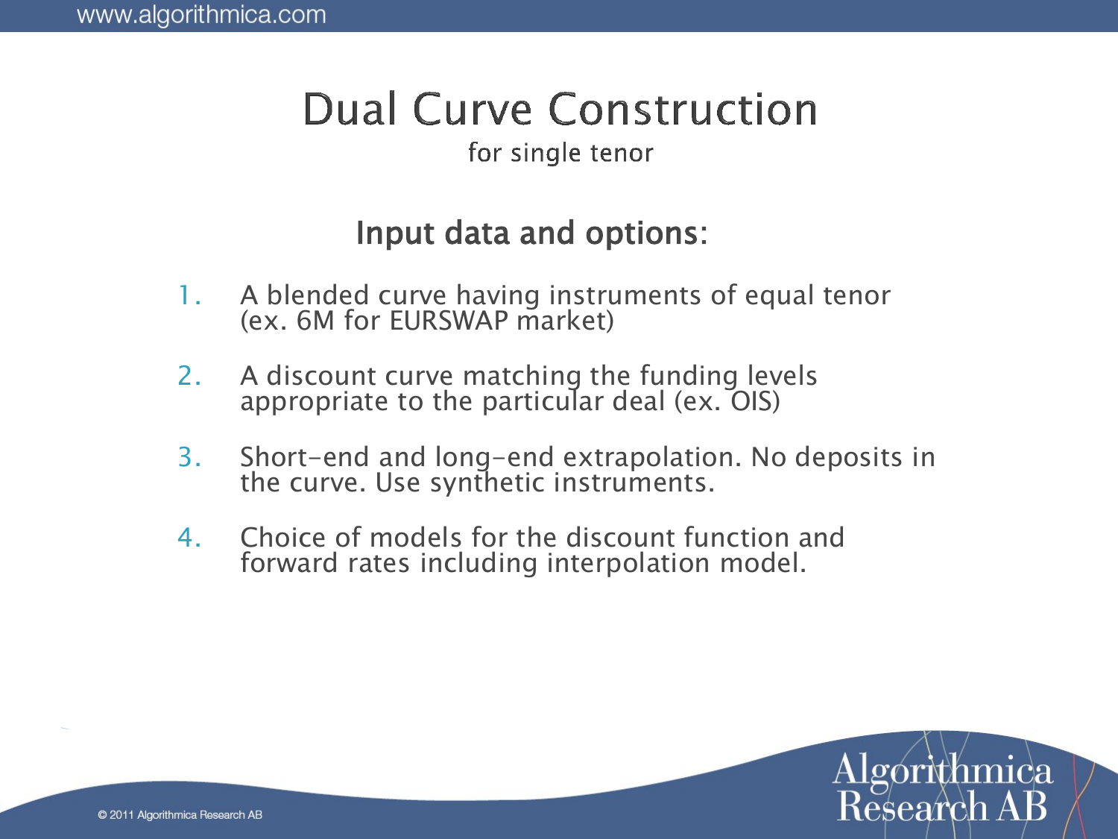# **Dual Curve Construction**

#### for single tenor

### Input data and options:

- 1. A blended curve having instruments of equal tenor (ex. 6M for EURSWAP market)
- 2. A discount curve matching the funding levels appropriate to the particular deal (ex. OIS)
- 3. Short-end and long-end extrapolation. No deposits in the curve. Use synthetic instruments.
- 4. Choice of models for the discount function and forward rates including interpolation model.

Research A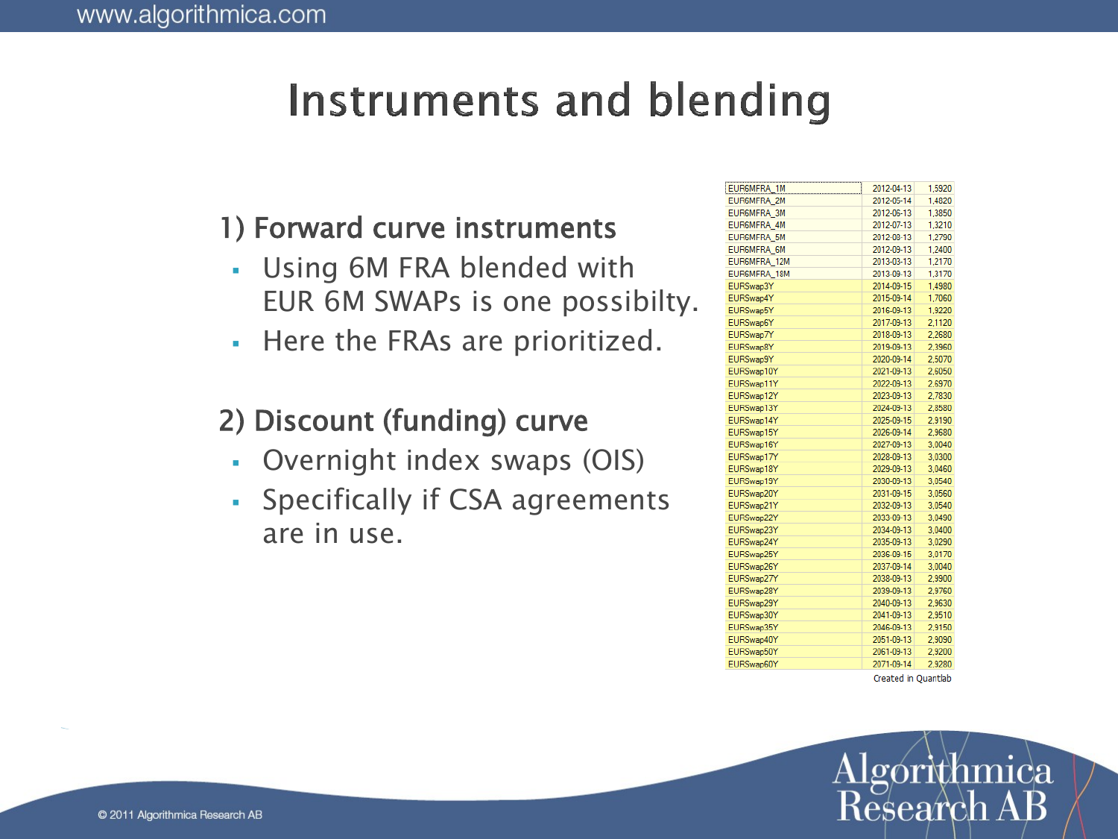## Instruments and blending

#### 1) Forward curve instruments

- Using 6M FRA blended with EUR 6M SWAPs is one possibilty.
- Here the FRAs are prioritized.

#### 2) Discount (funding) curve

- Overnight index swaps (OIS)
- Specifically if CSA agreements are in use.

| EUR6MFRA_1M        | 2012-04-13 | 1,5920 |
|--------------------|------------|--------|
| <b>EUR6MFRA 2M</b> | 2012-05-14 | 1.4820 |
| <b>EURGMFRA 3M</b> | 2012-06-13 | 1,3850 |
| <b>EUR6MFRA 4M</b> | 2012-07-13 | 1.3210 |
| <b>EUR6MFRA 5M</b> | 2012-08-13 | 1.2790 |
| <b>EUR6MFRA 6M</b> | 2012-09-13 | 1.2400 |
| EUR6MFRA_12M       | 2013-03-13 | 1.2170 |
| EUR6MFRA 18M       | 2013-09-13 | 1,3170 |
| EURSwap3Y          | 2014-09-15 | 1.4980 |
| EURSwap4Y          | 2015-09-14 | 1,7060 |
| EURSwap5Y          | 2016-09-13 | 1.9220 |
| EURSwap6Y          | 2017-09-13 | 2,1120 |
| EURSwap7Y          | 2018-09-13 | 2.2680 |
| EURSwap8Y          | 2019-09-13 | 2.3960 |
| EURSwap9Y          | 2020-09-14 | 2.5070 |
| EURSwap10Y         | 2021-09-13 | 2.6050 |
| EURSwap11Y         | 2022-09-13 | 2.6970 |
| EURSwap12Y         | 2023-09-13 | 2.7830 |
| EURSwap13Y         | 2024-09-13 | 2,8580 |
| EURSwap14Y         | 2025-09-15 | 2.9190 |
| EURSwap15Y         | 2026-09-14 | 2.9680 |
| EURSwap16Y         | 2027-09-13 | 3.0040 |
| EURSwap17Y         | 2028-09-13 | 3.0300 |
| EURSwap18Y         | 2029-09-13 | 3,0460 |
| EURSwap19Y         | 2030-09-13 | 3.0540 |
| EURSwap20Y         | 2031-09-15 | 3.0560 |
| EURSwap21Y         | 2032-09-13 | 3.0540 |
| EURSwap22Y         | 2033-09-13 | 3.0490 |
| EURSwap23Y         | 2034-09-13 | 3.0400 |
| EURSwap24Y         | 2035-09-13 | 3.0290 |
| EURSwap25Y         | 2036-09-15 | 3,0170 |
| EURSwap26Y         | 2037-09-14 | 3,0040 |
| EURSwap27Y         | 2038-09-13 | 2,9900 |
| EURSwap28Y         | 2039-09-13 | 2.9760 |
| EURSwap29Y         | 2040-09-13 | 2.9630 |
| EURSwap30Y         | 2041-09-13 | 2.9510 |
| EURSwap35Y         | 2046-09-13 | 2.9150 |
| EURSwap40Y         | 2051-09-13 | 2.9090 |
| EURSwap50Y         | 2061-09-13 | 2.9200 |
| EURSwap60Y         | 2071-09-14 | 2.9280 |
|                    |            |        |

Created in Quantlab

Research A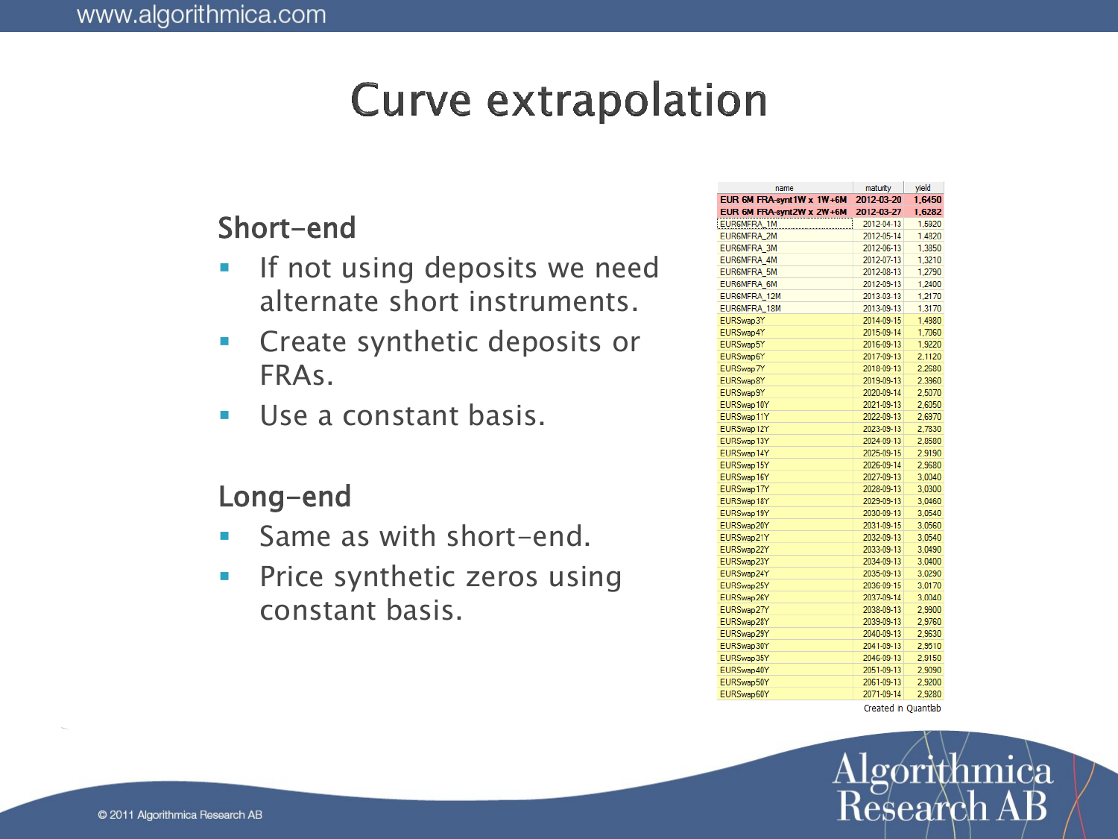## **Curve extrapolation**

#### Short-end

- **If not using deposits we need** alternate short instruments.
- **Create synthetic deposits or** FRAs.
- Use a constant basis.

#### Long-end

- **Same as with short-end.**
- **Price synthetic zeros using** constant basis.

| name                       | maturity            | vield  |
|----------------------------|---------------------|--------|
| EUR 6M FRA-synt 1W x 1W+6M | 2012-03-20          | 1,6450 |
| EUR 6M FRA-synt 2W x 2W+6M | 2012-03-27          | 1,6282 |
| EUR6MFRA_1M                | 2012-04-13          | 1,5920 |
| <b>EUR6MFRA 2M</b>         | 2012-05-14          | 1.4820 |
| EUR6MFRA 3M                | 2012-06-13          | 1,3850 |
| <b>EUR6MFRA 4M</b>         | 2012-07-13          | 1,3210 |
| <b>EUR6MFRA 5M</b>         | 2012-08-13          | 1.2790 |
| <b>EUR6MFRA 6M</b>         | 2012-09-13          | 1,2400 |
| EUR6MFRA_12M               | 2013-03-13          | 1,2170 |
| EUR6MFRA 18M               | 2013-09-13          | 1.3170 |
| EURSwap3Y                  | 2014-09-15          | 1,4980 |
| EURSwap4Y                  | 2015-09-14          | 1,7060 |
| EURSwap5Y                  | 2016-09-13          | 1.9220 |
| EURSwap6Y                  | 2017-09-13          | 2.1120 |
| EURSwap7Y                  | 2018-09-13          | 2,2680 |
| EURSwap8Y                  | 2019-09-13          | 2.3960 |
| EURSwap9Y                  | 2020-09-14          | 2.5070 |
| EURSwap10Y                 | 2021-09-13          | 2,6050 |
| EURSwap11Y                 | 2022-09-13          | 2.6970 |
| EURSwap12Y                 | 2023-09-13          | 2.7830 |
| EURSwap13Y                 | 2024-09-13          | 2.8580 |
| EURSwap14Y                 | 2025-09-15          | 2.9190 |
| EURSwap15Y                 | 2026-09-14          | 2.9680 |
| EURSwap16Y                 | 2027-09-13          | 3.0040 |
| EURSwap17Y                 | 2028-09-13          | 3.0300 |
| EURSwap18Y                 | 2029-09-13          | 3.0460 |
| EURSwap19Y                 | 2030-09-13          | 3.0540 |
| EURSwap20Y                 | 2031-09-15          | 3.0560 |
| EURSwap21Y                 | 2032-09-13          | 3.0540 |
| EURSwap22Y                 | 2033-09-13          | 3.0490 |
| EURSwap23Y                 | 2034-09-13          | 3,0400 |
| EURSwap24Y                 | 2035-09-13          | 3.0290 |
| EURSwap25Y                 | 2036-09-15          | 3,0170 |
| EURSwap26Y                 | 2037-09-14          | 3.0040 |
| EURSwap27Y                 | 2038-09-13          | 2,9900 |
| EURSwap28Y                 | 2039-09-13          | 2.9760 |
| EURSwap29Y                 | 2040-09-13          | 2.9630 |
| EURSwap30Y                 | 2041-09-13          | 2,9510 |
| EURSwap35Y                 | 2046-09-13          | 2,9150 |
| EURSwap40Y                 | 2051-09-13          | 2.9090 |
| EURSwap50Y                 | 2061-09-13          | 2.9200 |
| EURSwap60Y                 | 2071-09-14          | 2.9280 |
|                            | Created in Quantlab |        |

Algórithmica Research A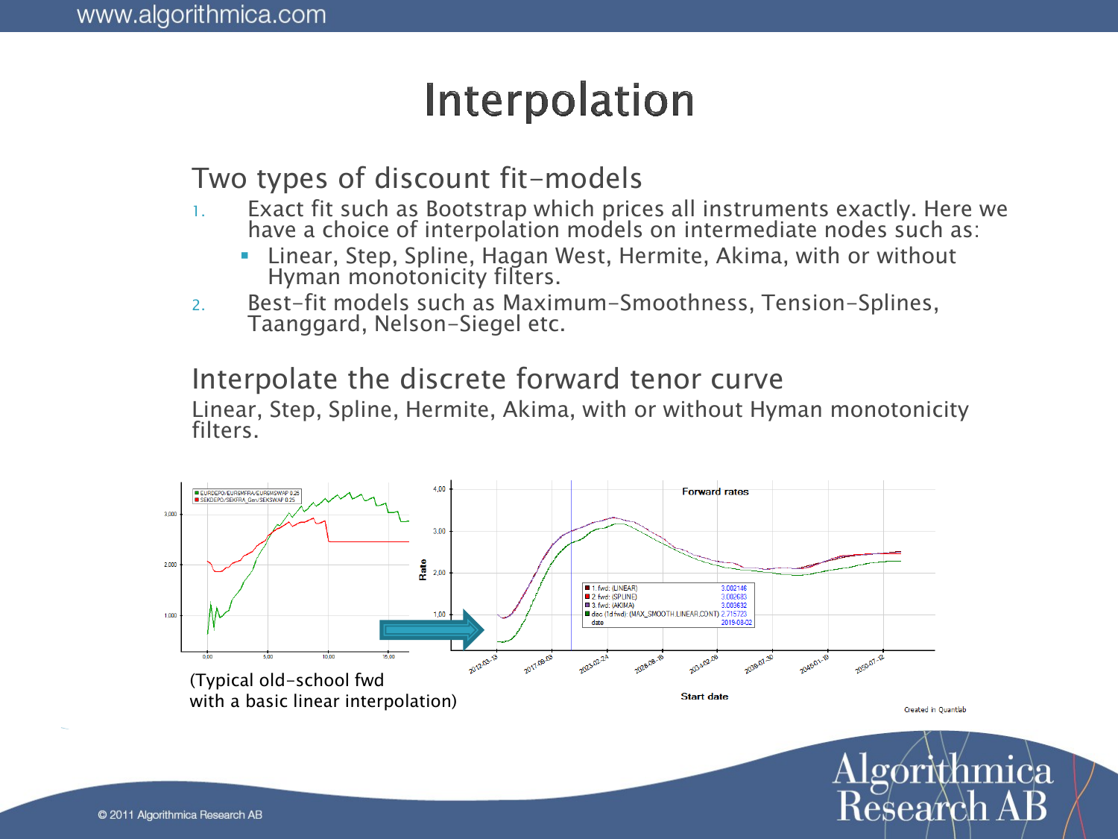## Interpolation

#### Two types of discount fit-models

- 1. Exact fit such as Bootstrap which prices all instruments exactly. Here we have a choice of interpolation models on intermediate nodes such as:
	- Linear, Step, Spline, Hagan West, Hermite, Akima, with or without Hyman monotonicity filters.
- 2. Best-fit models such as Maximum-Smoothness, Tension-Splines, Taanggard, Nelson-Siegel etc.

#### Interpolate the discrete forward tenor curve

Linear, Step, Spline, Hermite, Akima, with or without Hyman monotonicity filters.

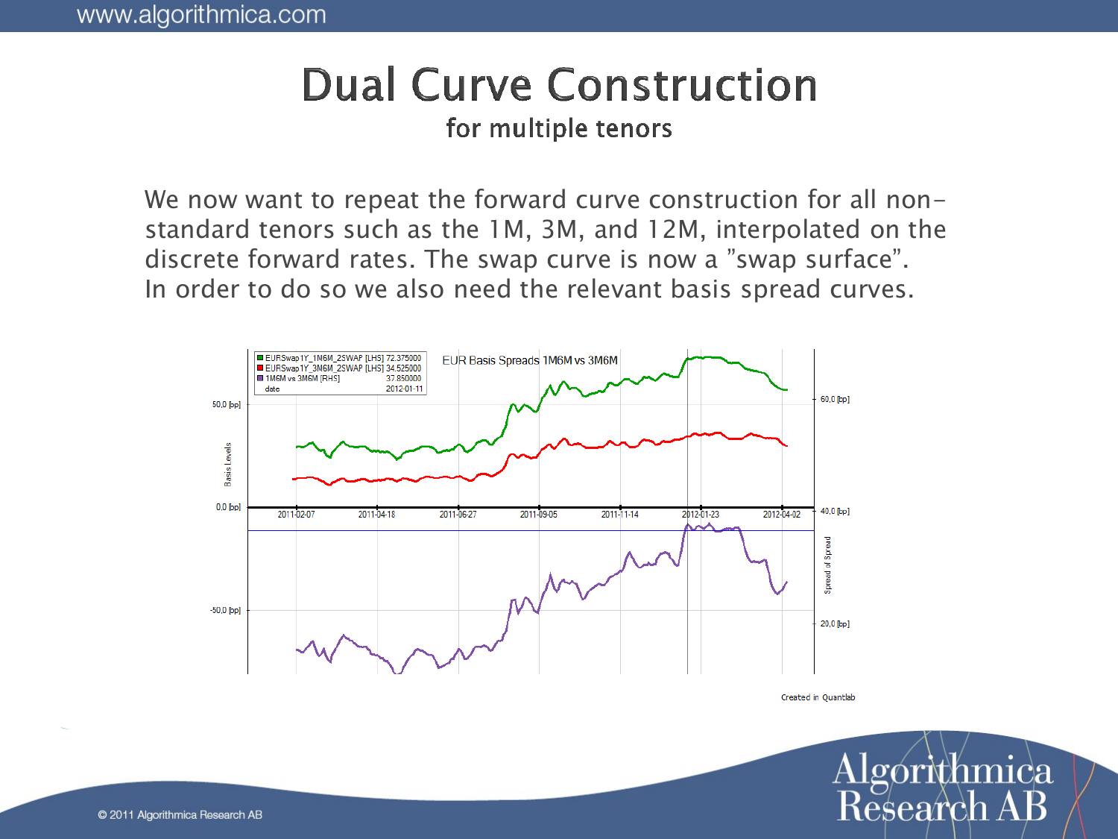# **Dual Curve Construction**

#### for multiple tenors

We now want to repeat the forward curve construction for all nonstandard tenors such as the 1M, 3M, and 12M, interpolated on the discrete forward rates. The swap curve is now a "swap surface". In order to do so we also need the relevant basis spread curves.



Created in Ouantlab